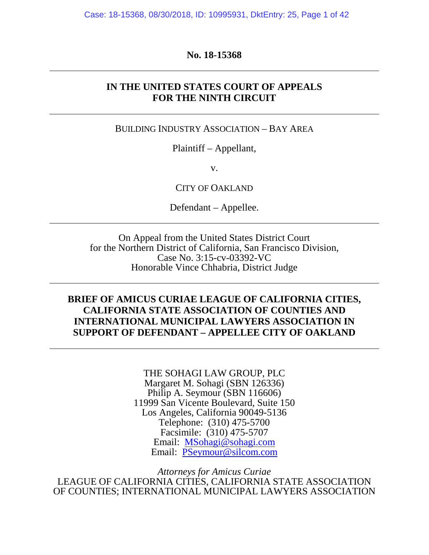### **No. 18-15368**

### **IN THE UNITED STATES COURT OF APPEALS FOR THE NINTH CIRCUIT**

BUILDING INDUSTRY ASSOCIATION – BAY AREA

Plaintiff – Appellant,

v.

CITY OF OAKLAND

Defendant – Appellee.

On Appeal from the United States District Court for the Northern District of California, San Francisco Division, Case No. 3:15-cv-03392-VC Honorable Vince Chhabria, District Judge

### **BRIEF OF AMICUS CURIAE LEAGUE OF CALIFORNIA CITIES, CALIFORNIA STATE ASSOCIATION OF COUNTIES AND INTERNATIONAL MUNICIPAL LAWYERS ASSOCIATION IN SUPPORT OF DEFENDANT – APPELLEE CITY OF OAKLAND**

THE SOHAGI LAW GROUP, PLC Margaret M. Sohagi (SBN 126336) Philip A. Seymour (SBN 116606) 11999 San Vicente Boulevard, Suite 150 Los Angeles, California 90049-5136 Telephone: (310) 475-5700 Facsimile: (310) 475-5707 Email: [MSohagi@sohagi.com](mailto:MSohagi@sohagi.com) Email: [PSeymour@silcom.com](mailto:PSeymour@silcom.com)

*Attorneys for Amicus Curiae*  LEAGUE OF CALIFORNIA CITIES, CALIFORNIA STATE ASSOCIATION OF COUNTIES; INTERNATIONAL MUNICIPAL LAWYERS ASSOCIATION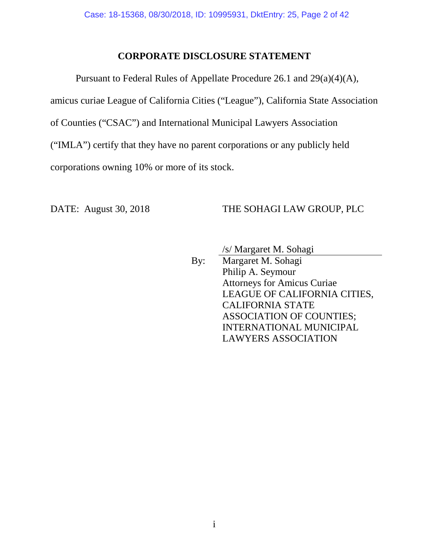### **CORPORATE DISCLOSURE STATEMENT**

Pursuant to Federal Rules of Appellate Procedure 26.1 and 29(a)(4)(A), amicus curiae League of California Cities ("League"), California State Association of Counties ("CSAC") and International Municipal Lawyers Association ("IMLA") certify that they have no parent corporations or any publicly held corporations owning 10% or more of its stock.

### DATE: August 30, 2018 THE SOHAGI LAW GROUP, PLC

/s/ Margaret M. Sohagi

By: Margaret M. Sohagi Philip A. Seymour Attorneys for Amicus Curiae LEAGUE OF CALIFORNIA CITIES, CALIFORNIA STATE ASSOCIATION OF COUNTIES; INTERNATIONAL MUNICIPAL LAWYERS ASSOCIATION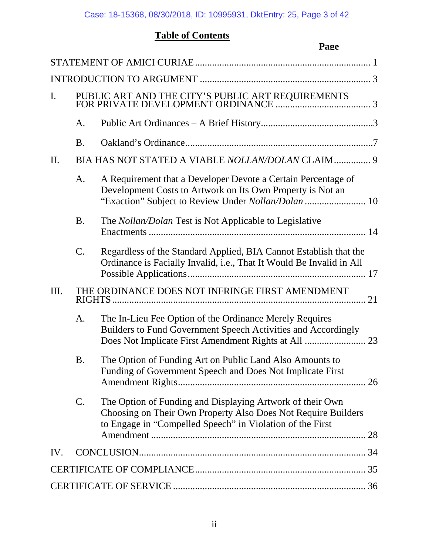## **Table of Contents**

|     |           | Page                                                                                                                                                                                    |    |
|-----|-----------|-----------------------------------------------------------------------------------------------------------------------------------------------------------------------------------------|----|
|     |           |                                                                                                                                                                                         |    |
|     |           |                                                                                                                                                                                         |    |
| I.  |           |                                                                                                                                                                                         |    |
|     | A.        |                                                                                                                                                                                         |    |
|     | <b>B.</b> |                                                                                                                                                                                         |    |
| II. |           | BIA HAS NOT STATED A VIABLE NOLLAN/DOLAN CLAIM 9                                                                                                                                        |    |
|     | A.        | A Requirement that a Developer Devote a Certain Percentage of<br>Development Costs to Artwork on Its Own Property is Not an                                                             |    |
|     | <b>B.</b> | The Nollan/Dolan Test is Not Applicable to Legislative                                                                                                                                  |    |
|     | $C$ .     | Regardless of the Standard Applied, BIA Cannot Establish that the<br>Ordinance is Facially Invalid, i.e., That It Would Be Invalid in All                                               |    |
| Ш.  |           | THE ORDINANCE DOES NOT INFRINGE FIRST AMENDMENT                                                                                                                                         | 21 |
|     | A.        | The In-Lieu Fee Option of the Ordinance Merely Requires<br>Builders to Fund Government Speech Activities and Accordingly                                                                |    |
|     | <b>B.</b> | The Option of Funding Art on Public Land Also Amounts to<br>Funding of Government Speech and Does Not Implicate First                                                                   |    |
|     | C.        | The Option of Funding and Displaying Artwork of their Own<br>Choosing on Their Own Property Also Does Not Require Builders<br>to Engage in "Compelled Speech" in Violation of the First |    |
| IV. |           |                                                                                                                                                                                         |    |
|     |           |                                                                                                                                                                                         |    |
|     |           |                                                                                                                                                                                         |    |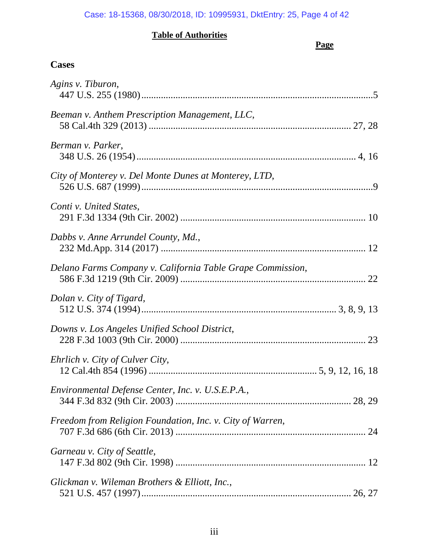### **Table of Authorities**

## **Page**

## **Cases**

| Agins v. Tiburon,                                          |  |
|------------------------------------------------------------|--|
| Beeman v. Anthem Prescription Management, LLC,             |  |
| Berman v. Parker,                                          |  |
| City of Monterey v. Del Monte Dunes at Monterey, LTD,      |  |
| Conti v. United States,                                    |  |
| Dabbs v. Anne Arrundel County, Md.,                        |  |
| Delano Farms Company v. California Table Grape Commission, |  |
| Dolan v. City of Tigard,                                   |  |
| Downs v. Los Angeles Unified School District,              |  |
| Ehrlich v. City of Culver City,                            |  |
| Environmental Defense Center, Inc. v. U.S.E.P.A.,          |  |
| Freedom from Religion Foundation, Inc. v. City of Warren,  |  |
| Garneau v. City of Seattle,                                |  |
| Glickman v. Wileman Brothers & Elliott, Inc.,              |  |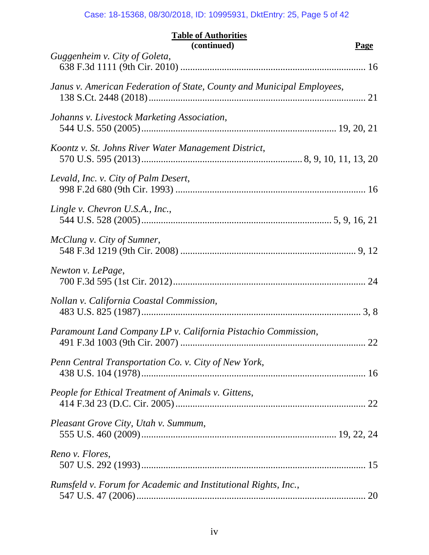| <b>Table of Authorities</b><br>(continued)<br><b>Page</b>              |    |  |  |
|------------------------------------------------------------------------|----|--|--|
| Guggenheim v. City of Goleta,                                          |    |  |  |
| Janus v. American Federation of State, County and Municipal Employees, |    |  |  |
| Johanns v. Livestock Marketing Association,                            |    |  |  |
| Koontz v. St. Johns River Water Management District,                   |    |  |  |
| Levald, Inc. v. City of Palm Desert,                                   |    |  |  |
| Lingle v. Chevron U.S.A., Inc.,                                        |    |  |  |
| McClung v. City of Sumner,                                             |    |  |  |
| Newton v. LePage,                                                      |    |  |  |
| Nollan v. California Coastal Commission,                               |    |  |  |
| Paramount Land Company LP v. California Pistachio Commission,          | 22 |  |  |
| Penn Central Transportation Co. v. City of New York,                   |    |  |  |
| People for Ethical Treatment of Animals v. Gittens,                    |    |  |  |
| Pleasant Grove City, Utah v. Summum,                                   |    |  |  |
| Reno v. Flores,                                                        |    |  |  |
| Rumsfeld v. Forum for Academic and Institutional Rights, Inc.,         |    |  |  |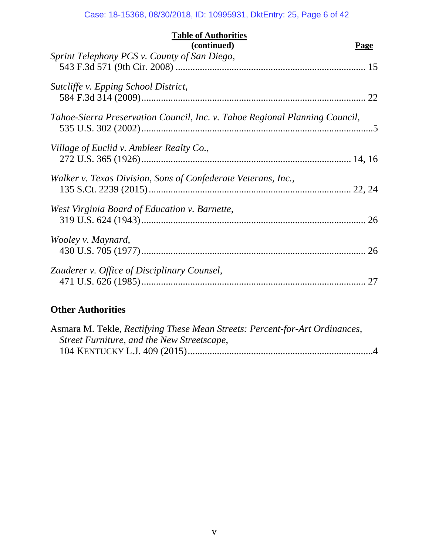| <b>Table of Authorities</b><br>(continued)                                  | Page |
|-----------------------------------------------------------------------------|------|
| Sprint Telephony PCS v. County of San Diego,                                |      |
| Sutcliffe v. Epping School District,                                        |      |
| Tahoe-Sierra Preservation Council, Inc. v. Tahoe Regional Planning Council, |      |
| Village of Euclid v. Ambleer Realty Co.,                                    |      |
| Walker v. Texas Division, Sons of Confederate Veterans, Inc.,               |      |
| West Virginia Board of Education v. Barnette,                               |      |
| Wooley v. Maynard,                                                          |      |
| Zauderer v. Office of Disciplinary Counsel,                                 |      |
|                                                                             |      |

## **Other Authorities**

| Asmara M. Tekle, Rectifying These Mean Streets: Percent-for-Art Ordinances, |  |
|-----------------------------------------------------------------------------|--|
| Street Furniture, and the New Streetscape,                                  |  |
|                                                                             |  |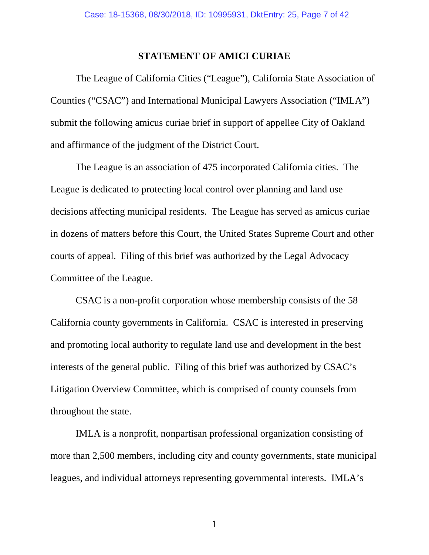### **STATEMENT OF AMICI CURIAE**

The League of California Cities ("League"), California State Association of Counties ("CSAC") and International Municipal Lawyers Association ("IMLA") submit the following amicus curiae brief in support of appellee City of Oakland and affirmance of the judgment of the District Court.

The League is an association of 475 incorporated California cities. The League is dedicated to protecting local control over planning and land use decisions affecting municipal residents. The League has served as amicus curiae in dozens of matters before this Court, the United States Supreme Court and other courts of appeal. Filing of this brief was authorized by the Legal Advocacy Committee of the League.

CSAC is a non-profit corporation whose membership consists of the 58 California county governments in California. CSAC is interested in preserving and promoting local authority to regulate land use and development in the best interests of the general public. Filing of this brief was authorized by CSAC's Litigation Overview Committee, which is comprised of county counsels from throughout the state.

IMLA is a nonprofit, nonpartisan professional organization consisting of more than 2,500 members, including city and county governments, state municipal leagues, and individual attorneys representing governmental interests. IMLA's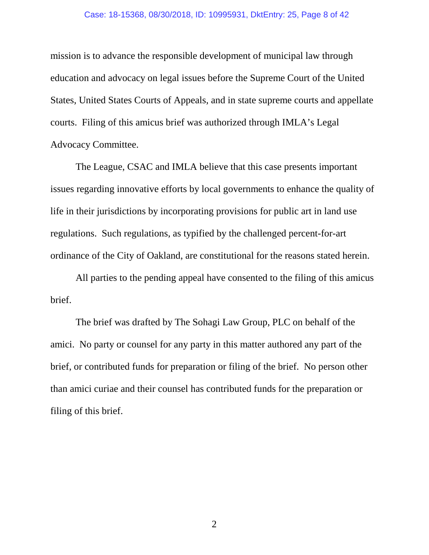#### Case: 18-15368, 08/30/2018, ID: 10995931, DktEntry: 25, Page 8 of 42

mission is to advance the responsible development of municipal law through education and advocacy on legal issues before the Supreme Court of the United States, United States Courts of Appeals, and in state supreme courts and appellate courts. Filing of this amicus brief was authorized through IMLA's Legal Advocacy Committee.

The League, CSAC and IMLA believe that this case presents important issues regarding innovative efforts by local governments to enhance the quality of life in their jurisdictions by incorporating provisions for public art in land use regulations. Such regulations, as typified by the challenged percent-for-art ordinance of the City of Oakland, are constitutional for the reasons stated herein.

All parties to the pending appeal have consented to the filing of this amicus brief.

The brief was drafted by The Sohagi Law Group, PLC on behalf of the amici. No party or counsel for any party in this matter authored any part of the brief, or contributed funds for preparation or filing of the brief. No person other than amici curiae and their counsel has contributed funds for the preparation or filing of this brief.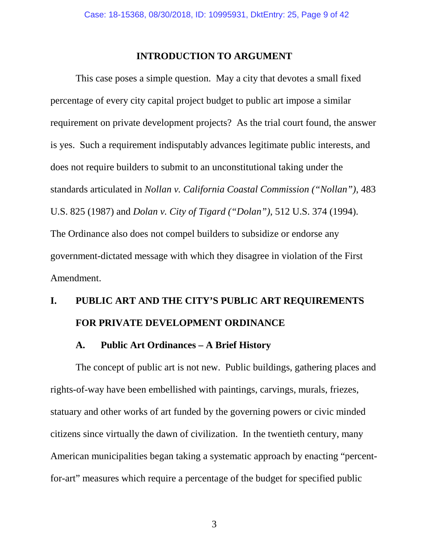### **INTRODUCTION TO ARGUMENT**

This case poses a simple question. May a city that devotes a small fixed percentage of every city capital project budget to public art impose a similar requirement on private development projects? As the trial court found, the answer is yes. Such a requirement indisputably advances legitimate public interests, and does not require builders to submit to an unconstitutional taking under the standards articulated in *Nollan v. California Coastal Commission ("Nollan")*, 483 U.S. 825 (1987) and *Dolan v. City of Tigard ("Dolan")*, 512 U.S. 374 (1994). The Ordinance also does not compel builders to subsidize or endorse any government-dictated message with which they disagree in violation of the First Amendment.

# **I. PUBLIC ART AND THE CITY'S PUBLIC ART REQUIREMENTS FOR PRIVATE DEVELOPMENT ORDINANCE**

### **A. Public Art Ordinances – A Brief History**

The concept of public art is not new. Public buildings, gathering places and rights-of-way have been embellished with paintings, carvings, murals, friezes, statuary and other works of art funded by the governing powers or civic minded citizens since virtually the dawn of civilization. In the twentieth century, many American municipalities began taking a systematic approach by enacting "percentfor-art" measures which require a percentage of the budget for specified public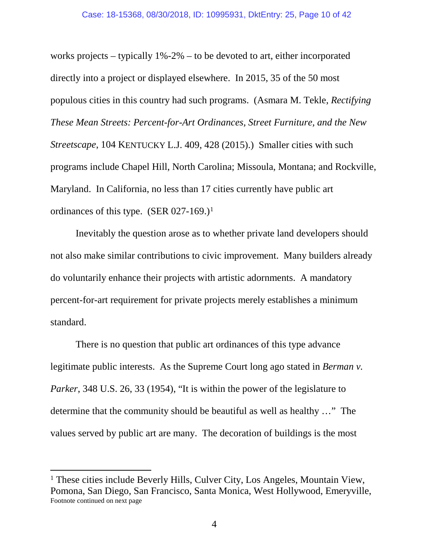works projects – typically 1%-2% – to be devoted to art, either incorporated directly into a project or displayed elsewhere. In 2015, 35 of the 50 most populous cities in this country had such programs. (Asmara M. Tekle, *Rectifying These Mean Streets: Percent-for-Art Ordinances, Street Furniture, and the New Streetscape*, 104 KENTUCKY L.J. 409, 428 (2015).) Smaller cities with such programs include Chapel Hill, North Carolina; Missoula, Montana; and Rockville, Maryland. In California, no less than 17 cities currently have public art ordinances of this type. (SER 027-169.)<sup>1</sup>

Inevitably the question arose as to whether private land developers should not also make similar contributions to civic improvement. Many builders already do voluntarily enhance their projects with artistic adornments. A mandatory percent-for-art requirement for private projects merely establishes a minimum standard.

There is no question that public art ordinances of this type advance legitimate public interests. As the Supreme Court long ago stated in *Berman v. Parker*, 348 U.S. 26, 33 (1954), "It is within the power of the legislature to determine that the community should be beautiful as well as healthy …" The values served by public art are many. The decoration of buildings is the most

<span id="page-9-0"></span><sup>&</sup>lt;sup>1</sup> These cities include Beverly Hills, Culver City, Los Angeles, Mountain View, Pomona, San Diego, San Francisco, Santa Monica, West Hollywood, Emeryville, Footnote continued on next page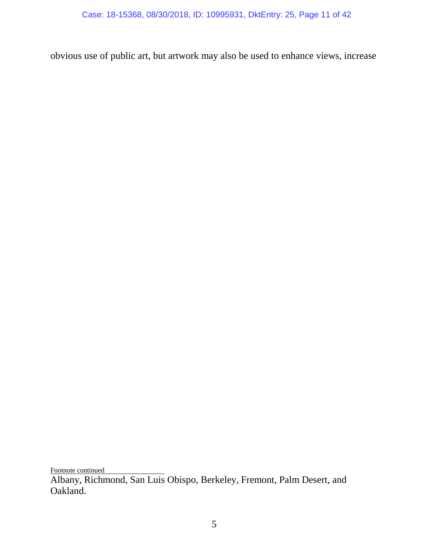obvious use of public art, but artwork may also be used to enhance views, increase

Footnote continued

Albany, Richmond, San Luis Obispo, Berkeley, Fremont, Palm Desert, and Oakland.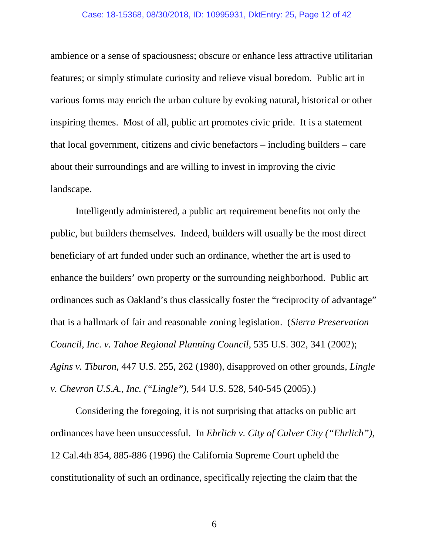#### Case: 18-15368, 08/30/2018, ID: 10995931, DktEntry: 25, Page 12 of 42

ambience or a sense of spaciousness; obscure or enhance less attractive utilitarian features; or simply stimulate curiosity and relieve visual boredom. Public art in various forms may enrich the urban culture by evoking natural, historical or other inspiring themes. Most of all, public art promotes civic pride. It is a statement that local government, citizens and civic benefactors – including builders – care about their surroundings and are willing to invest in improving the civic landscape.

Intelligently administered, a public art requirement benefits not only the public, but builders themselves. Indeed, builders will usually be the most direct beneficiary of art funded under such an ordinance, whether the art is used to enhance the builders' own property or the surrounding neighborhood. Public art ordinances such as Oakland's thus classically foster the "reciprocity of advantage" that is a hallmark of fair and reasonable zoning legislation. (*Sierra Preservation Council, Inc. v. Tahoe Regional Planning Council*, 535 U.S. 302, 341 (2002); *Agins v. Tiburon*, 447 U.S. 255, 262 (1980), disapproved on other grounds, *Lingle v. Chevron U.S.A., Inc. ("Lingle")*, 544 U.S. 528, 540-545 (2005).)

Considering the foregoing, it is not surprising that attacks on public art ordinances have been unsuccessful. In *Ehrlich v. City of Culver City ("Ehrlich")*, 12 Cal.4th 854, 885-886 (1996) the California Supreme Court upheld the constitutionality of such an ordinance, specifically rejecting the claim that the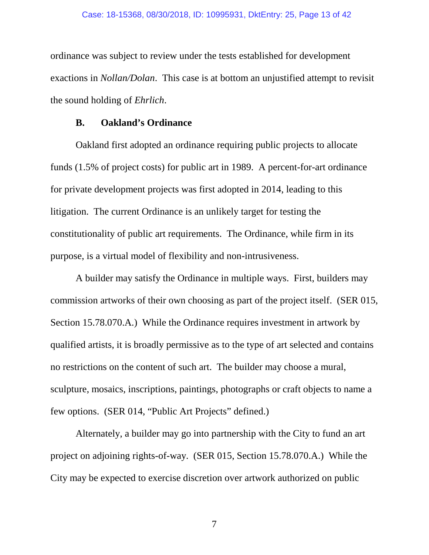ordinance was subject to review under the tests established for development exactions in *Nollan/Dolan*. This case is at bottom an unjustified attempt to revisit the sound holding of *Ehrlich*.

### **B. Oakland's Ordinance**

Oakland first adopted an ordinance requiring public projects to allocate funds (1.5% of project costs) for public art in 1989. A percent-for-art ordinance for private development projects was first adopted in 2014, leading to this litigation. The current Ordinance is an unlikely target for testing the constitutionality of public art requirements. The Ordinance, while firm in its purpose, is a virtual model of flexibility and non-intrusiveness.

A builder may satisfy the Ordinance in multiple ways. First, builders may commission artworks of their own choosing as part of the project itself. (SER 015, Section 15.78.070.A.) While the Ordinance requires investment in artwork by qualified artists, it is broadly permissive as to the type of art selected and contains no restrictions on the content of such art. The builder may choose a mural, sculpture, mosaics, inscriptions, paintings, photographs or craft objects to name a few options. (SER 014, "Public Art Projects" defined.)

Alternately, a builder may go into partnership with the City to fund an art project on adjoining rights-of-way. (SER 015, Section 15.78.070.A.) While the City may be expected to exercise discretion over artwork authorized on public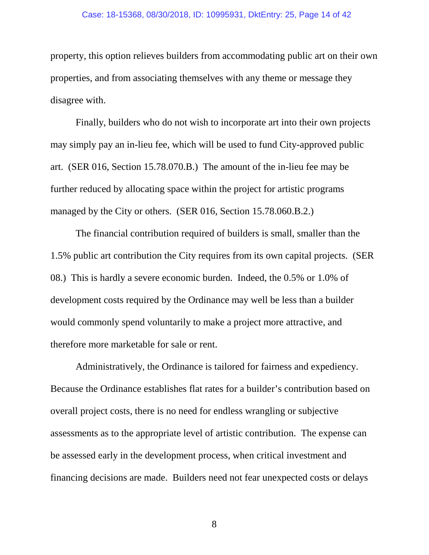#### Case: 18-15368, 08/30/2018, ID: 10995931, DktEntry: 25, Page 14 of 42

property, this option relieves builders from accommodating public art on their own properties, and from associating themselves with any theme or message they disagree with.

Finally, builders who do not wish to incorporate art into their own projects may simply pay an in-lieu fee, which will be used to fund City-approved public art. (SER 016, Section 15.78.070.B.) The amount of the in-lieu fee may be further reduced by allocating space within the project for artistic programs managed by the City or others. (SER 016, Section 15.78.060.B.2.)

The financial contribution required of builders is small, smaller than the 1.5% public art contribution the City requires from its own capital projects. (SER 08.) This is hardly a severe economic burden. Indeed, the 0.5% or 1.0% of development costs required by the Ordinance may well be less than a builder would commonly spend voluntarily to make a project more attractive, and therefore more marketable for sale or rent.

Administratively, the Ordinance is tailored for fairness and expediency. Because the Ordinance establishes flat rates for a builder's contribution based on overall project costs, there is no need for endless wrangling or subjective assessments as to the appropriate level of artistic contribution. The expense can be assessed early in the development process, when critical investment and financing decisions are made. Builders need not fear unexpected costs or delays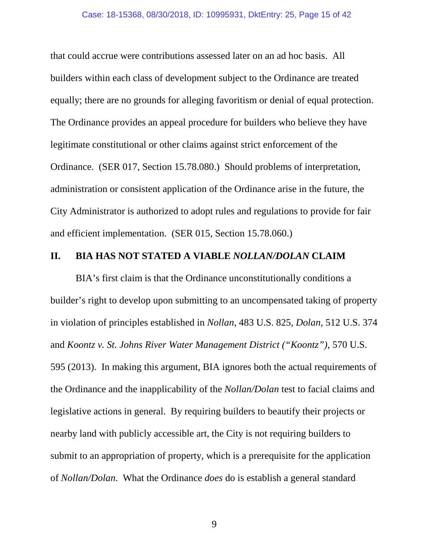that could accrue were contributions assessed later on an ad hoc basis. All builders within each class of development subject to the Ordinance are treated equally; there are no grounds for alleging favoritism or denial of equal protection. The Ordinance provides an appeal procedure for builders who believe they have legitimate constitutional or other claims against strict enforcement of the Ordinance. (SER 017, Section 15.78.080.) Should problems of interpretation, administration or consistent application of the Ordinance arise in the future, the City Administrator is authorized to adopt rules and regulations to provide for fair and efficient implementation. (SER 015, Section 15.78.060.)

### **II. BIA HAS NOT STATED A VIABLE** *NOLLAN/DOLAN* **CLAIM**

BIA's first claim is that the Ordinance unconstitutionally conditions a builder's right to develop upon submitting to an uncompensated taking of property in violation of principles established in *Nollan*, 483 U.S. 825, *Dolan*, 512 U.S. 374 and *Koontz v. St. Johns River Water Management District ("Koontz")*, 570 U.S. 595 (2013). In making this argument, BIA ignores both the actual requirements of the Ordinance and the inapplicability of the *Nollan/Dolan* test to facial claims and legislative actions in general. By requiring builders to beautify their projects or nearby land with publicly accessible art, the City is not requiring builders to submit to an appropriation of property, which is a prerequisite for the application of *Nollan/Dolan*. What the Ordinance *does* do is establish a general standard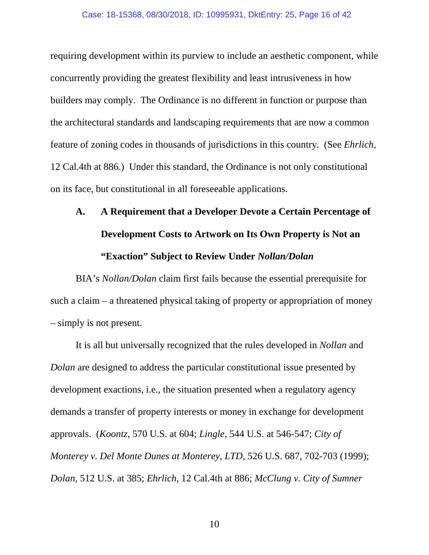requiring development within its purview to include an aesthetic component, while concurrently providing the greatest flexibility and least intrusiveness in how builders may comply. The Ordinance is no different in function or purpose than the architectural standards and landscaping requirements that are now a common feature of zoning codes in thousands of jurisdictions in this country. (See *Ehrlich*, 12 Cal.4th at 886.) Under this standard, the Ordinance is not only constitutional on its face, but constitutional in all foreseeable applications.

# **A. A Requirement that a Developer Devote a Certain Percentage of Development Costs to Artwork on Its Own Property is Not an "Exaction" Subject to Review Under** *Nollan/Dolan*

BIA's *Nollan/Dolan* claim first fails because the essential prerequisite for such a claim – a threatened physical taking of property or appropriation of money – simply is not present.

It is all but universally recognized that the rules developed in *Nollan* and *Dolan* are designed to address the particular constitutional issue presented by development exactions, i.e., the situation presented when a regulatory agency demands a transfer of property interests or money in exchange for development approvals. (*Koontz*, 570 U.S. at 604; *Lingle*, 544 U.S. at 546-547; *City of Monterey v. Del Monte Dunes at Monterey, LTD*, 526 U.S. 687, 702-703 (1999); *Dolan*, 512 U.S. at 385; *Ehrlich*, 12 Cal.4th at 886; *McClung v. City of Sumner*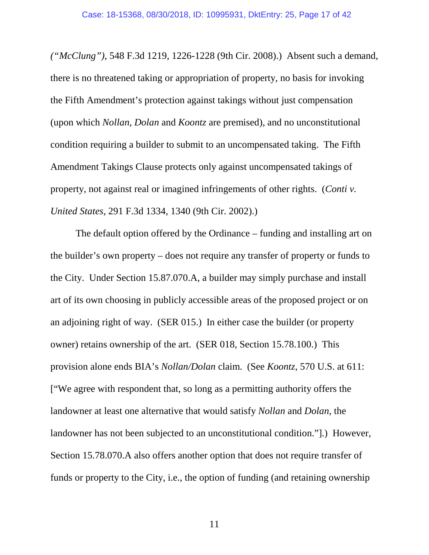*("McClung")*, 548 F.3d 1219, 1226-1228 (9th Cir. 2008).) Absent such a demand, there is no threatened taking or appropriation of property, no basis for invoking the Fifth Amendment's protection against takings without just compensation (upon which *Nollan*, *Dolan* and *Koontz* are premised), and no unconstitutional condition requiring a builder to submit to an uncompensated taking. The Fifth Amendment Takings Clause protects only against uncompensated takings of property, not against real or imagined infringements of other rights. (*Conti v. United States*, 291 F.3d 1334, 1340 (9th Cir. 2002).)

The default option offered by the Ordinance – funding and installing art on the builder's own property – does not require any transfer of property or funds to the City. Under Section 15.87.070.A, a builder may simply purchase and install art of its own choosing in publicly accessible areas of the proposed project or on an adjoining right of way. (SER 015.) In either case the builder (or property owner) retains ownership of the art. (SER 018, Section 15.78.100.) This provision alone ends BIA's *Nollan/Dolan* claim. (See *Koontz*, 570 U.S. at 611: ["We agree with respondent that, so long as a permitting authority offers the landowner at least one alternative that would satisfy *Nollan* and *Dolan*, the landowner has not been subjected to an unconstitutional condition."].) However, Section 15.78.070.A also offers another option that does not require transfer of funds or property to the City, i.e., the option of funding (and retaining ownership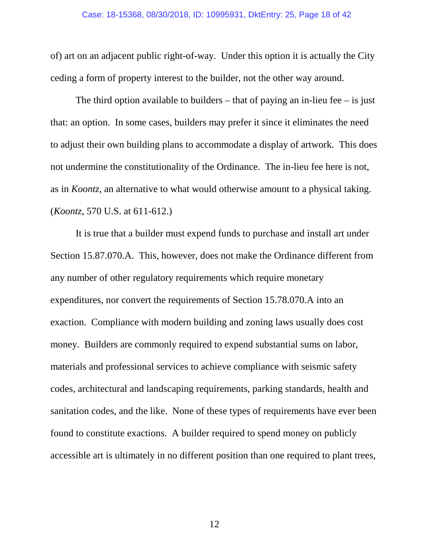of) art on an adjacent public right-of-way. Under this option it is actually the City ceding a form of property interest to the builder, not the other way around.

The third option available to builders – that of paying an in-lieu fee – is just that: an option. In some cases, builders may prefer it since it eliminates the need to adjust their own building plans to accommodate a display of artwork. This does not undermine the constitutionality of the Ordinance. The in-lieu fee here is not, as in *Koontz*, an alternative to what would otherwise amount to a physical taking. (*Koontz*, 570 U.S. at 611-612.)

It is true that a builder must expend funds to purchase and install art under Section 15.87.070.A. This, however, does not make the Ordinance different from any number of other regulatory requirements which require monetary expenditures, nor convert the requirements of Section 15.78.070.A into an exaction. Compliance with modern building and zoning laws usually does cost money. Builders are commonly required to expend substantial sums on labor, materials and professional services to achieve compliance with seismic safety codes, architectural and landscaping requirements, parking standards, health and sanitation codes, and the like. None of these types of requirements have ever been found to constitute exactions. A builder required to spend money on publicly accessible art is ultimately in no different position than one required to plant trees,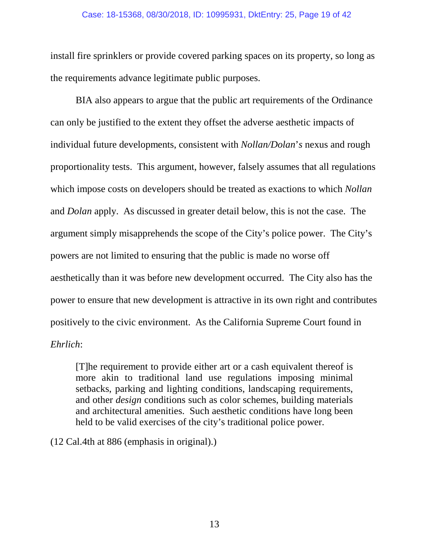#### Case: 18-15368, 08/30/2018, ID: 10995931, DktEntry: 25, Page 19 of 42

install fire sprinklers or provide covered parking spaces on its property, so long as the requirements advance legitimate public purposes.

BIA also appears to argue that the public art requirements of the Ordinance can only be justified to the extent they offset the adverse aesthetic impacts of individual future developments, consistent with *Nollan/Dolan*'*s* nexus and rough proportionality tests. This argument, however, falsely assumes that all regulations which impose costs on developers should be treated as exactions to which *Nollan*  and *Dolan* apply. As discussed in greater detail below, this is not the case. The argument simply misapprehends the scope of the City's police power. The City's powers are not limited to ensuring that the public is made no worse off aesthetically than it was before new development occurred. The City also has the power to ensure that new development is attractive in its own right and contributes positively to the civic environment. As the California Supreme Court found in *Ehrlich*:

[T]he requirement to provide either art or a cash equivalent thereof is more akin to traditional land use regulations imposing minimal setbacks, parking and lighting conditions, landscaping requirements, and other *design* conditions such as color schemes, building materials and architectural amenities. Such aesthetic conditions have long been held to be valid exercises of the city's traditional police power.

(12 Cal.4th at 886 (emphasis in original).)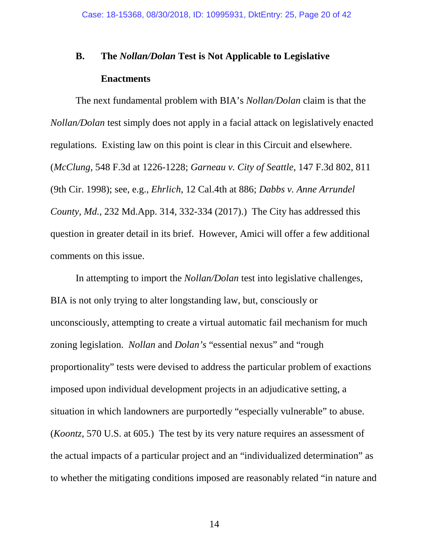# **B. The** *Nollan/Dolan* **Test is Not Applicable to Legislative Enactments**

The next fundamental problem with BIA's *Nollan/Dolan* claim is that the *Nollan/Dolan* test simply does not apply in a facial attack on legislatively enacted regulations. Existing law on this point is clear in this Circuit and elsewhere. (*McClung*, 548 F.3d at 1226-1228; *Garneau v. City of Seattle*, 147 F.3d 802, 811 (9th Cir. 1998); see, e.g., *Ehrlich*, 12 Cal.4th at 886; *Dabbs v. Anne Arrundel County, Md.*, 232 Md.App. 314, 332-334 (2017).) The City has addressed this question in greater detail in its brief. However, Amici will offer a few additional comments on this issue.

In attempting to import the *Nollan/Dolan* test into legislative challenges, BIA is not only trying to alter longstanding law, but, consciously or unconsciously, attempting to create a virtual automatic fail mechanism for much zoning legislation. *Nollan* and *Dolan's* "essential nexus" and "rough proportionality" tests were devised to address the particular problem of exactions imposed upon individual development projects in an adjudicative setting, a situation in which landowners are purportedly "especially vulnerable" to abuse. (*Koontz*, 570 U.S. at 605.) The test by its very nature requires an assessment of the actual impacts of a particular project and an "individualized determination" as to whether the mitigating conditions imposed are reasonably related "in nature and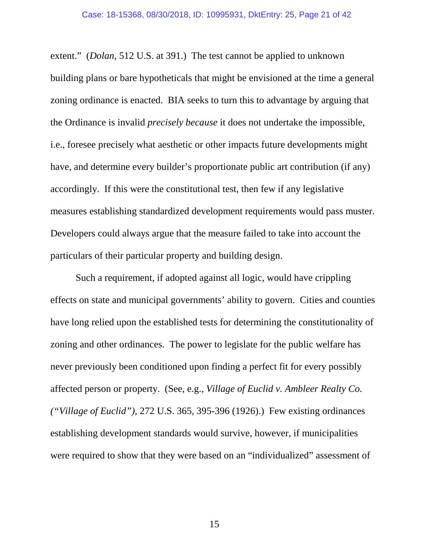extent." (*Dolan*, 512 U.S. at 391.) The test cannot be applied to unknown building plans or bare hypotheticals that might be envisioned at the time a general zoning ordinance is enacted. BIA seeks to turn this to advantage by arguing that the Ordinance is invalid *precisely because* it does not undertake the impossible, i.e., foresee precisely what aesthetic or other impacts future developments might have, and determine every builder's proportionate public art contribution (if any) accordingly. If this were the constitutional test, then few if any legislative measures establishing standardized development requirements would pass muster. Developers could always argue that the measure failed to take into account the particulars of their particular property and building design.

Such a requirement, if adopted against all logic, would have crippling effects on state and municipal governments' ability to govern. Cities and counties have long relied upon the established tests for determining the constitutionality of zoning and other ordinances. The power to legislate for the public welfare has never previously been conditioned upon finding a perfect fit for every possibly affected person or property. (See, e.g., *Village of Euclid v. Ambleer Realty Co. ("Village of Euclid"),* 272 U.S. 365, 395-396 (1926).) Few existing ordinances establishing development standards would survive, however, if municipalities were required to show that they were based on an "individualized" assessment of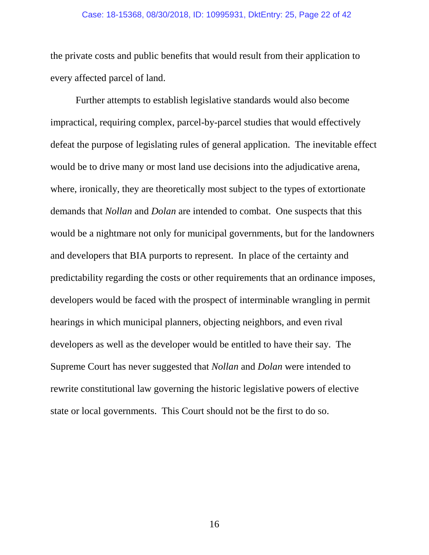#### Case: 18-15368, 08/30/2018, ID: 10995931, DktEntry: 25, Page 22 of 42

the private costs and public benefits that would result from their application to every affected parcel of land.

Further attempts to establish legislative standards would also become impractical, requiring complex, parcel-by-parcel studies that would effectively defeat the purpose of legislating rules of general application. The inevitable effect would be to drive many or most land use decisions into the adjudicative arena, where, ironically, they are theoretically most subject to the types of extortionate demands that *Nollan* and *Dolan* are intended to combat. One suspects that this would be a nightmare not only for municipal governments, but for the landowners and developers that BIA purports to represent. In place of the certainty and predictability regarding the costs or other requirements that an ordinance imposes, developers would be faced with the prospect of interminable wrangling in permit hearings in which municipal planners, objecting neighbors, and even rival developers as well as the developer would be entitled to have their say. The Supreme Court has never suggested that *Nollan* and *Dolan* were intended to rewrite constitutional law governing the historic legislative powers of elective state or local governments. This Court should not be the first to do so.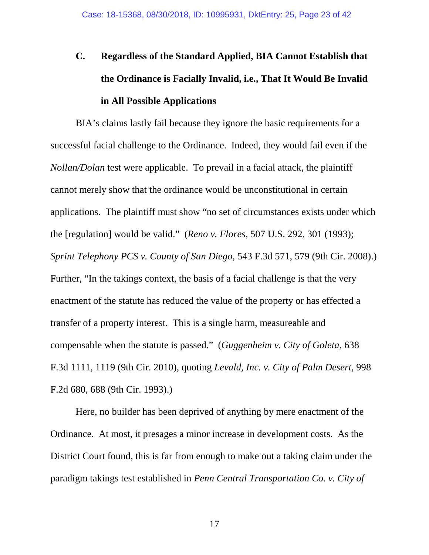# **C. Regardless of the Standard Applied, BIA Cannot Establish that the Ordinance is Facially Invalid, i.e., That It Would Be Invalid in All Possible Applications**

BIA's claims lastly fail because they ignore the basic requirements for a successful facial challenge to the Ordinance. Indeed, they would fail even if the *Nollan/Dolan* test were applicable. To prevail in a facial attack, the plaintiff cannot merely show that the ordinance would be unconstitutional in certain applications. The plaintiff must show "no set of circumstances exists under which the [regulation] would be valid." (*Reno v. Flores*, 507 U.S. 292, 301 (1993); *Sprint Telephony PCS v. County of San Diego*, 543 F.3d 571, 579 (9th Cir. 2008).) Further, "In the takings context, the basis of a facial challenge is that the very enactment of the statute has reduced the value of the property or has effected a transfer of a property interest. This is a single harm, measureable and compensable when the statute is passed." (*Guggenheim v. City of Goleta*, 638 F.3d 1111, 1119 (9th Cir. 2010), quoting *Levald, Inc. v. City of Palm Desert*, 998 F.2d 680, 688 (9th Cir. 1993).)

Here, no builder has been deprived of anything by mere enactment of the Ordinance. At most, it presages a minor increase in development costs. As the District Court found, this is far from enough to make out a taking claim under the paradigm takings test established in *Penn Central Transportation Co. v. City of*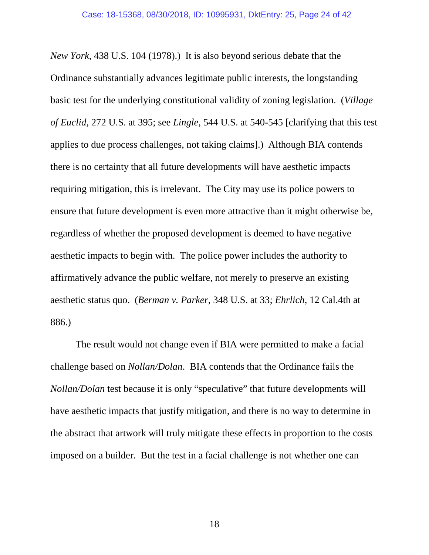*New York*, 438 U.S. 104 (1978).) It is also beyond serious debate that the Ordinance substantially advances legitimate public interests, the longstanding basic test for the underlying constitutional validity of zoning legislation. (*Village of Euclid,* 272 U.S. at 395; see *Lingle,* 544 U.S. at 540-545 [clarifying that this test applies to due process challenges, not taking claims].) Although BIA contends there is no certainty that all future developments will have aesthetic impacts requiring mitigation, this is irrelevant. The City may use its police powers to ensure that future development is even more attractive than it might otherwise be, regardless of whether the proposed development is deemed to have negative aesthetic impacts to begin with. The police power includes the authority to affirmatively advance the public welfare, not merely to preserve an existing aesthetic status quo. (*Berman v. Parker*, 348 U.S. at 33; *Ehrlich*, 12 Cal.4th at 886.)

The result would not change even if BIA were permitted to make a facial challenge based on *Nollan/Dolan*. BIA contends that the Ordinance fails the *Nollan/Dolan* test because it is only "speculative" that future developments will have aesthetic impacts that justify mitigation, and there is no way to determine in the abstract that artwork will truly mitigate these effects in proportion to the costs imposed on a builder. But the test in a facial challenge is not whether one can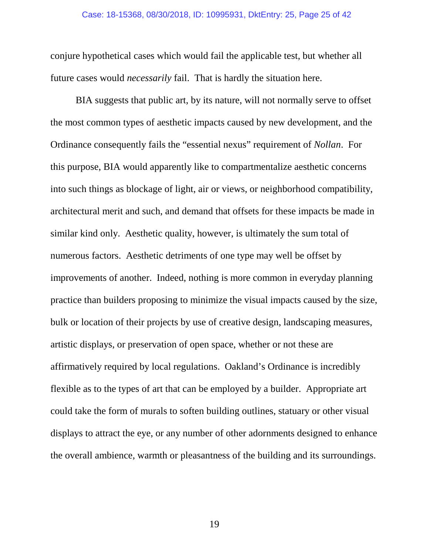#### Case: 18-15368, 08/30/2018, ID: 10995931, DktEntry: 25, Page 25 of 42

conjure hypothetical cases which would fail the applicable test, but whether all future cases would *necessarily* fail. That is hardly the situation here.

BIA suggests that public art, by its nature, will not normally serve to offset the most common types of aesthetic impacts caused by new development, and the Ordinance consequently fails the "essential nexus" requirement of *Nollan*. For this purpose, BIA would apparently like to compartmentalize aesthetic concerns into such things as blockage of light, air or views, or neighborhood compatibility, architectural merit and such, and demand that offsets for these impacts be made in similar kind only. Aesthetic quality, however, is ultimately the sum total of numerous factors. Aesthetic detriments of one type may well be offset by improvements of another. Indeed, nothing is more common in everyday planning practice than builders proposing to minimize the visual impacts caused by the size, bulk or location of their projects by use of creative design, landscaping measures, artistic displays, or preservation of open space, whether or not these are affirmatively required by local regulations. Oakland's Ordinance is incredibly flexible as to the types of art that can be employed by a builder. Appropriate art could take the form of murals to soften building outlines, statuary or other visual displays to attract the eye, or any number of other adornments designed to enhance the overall ambience, warmth or pleasantness of the building and its surroundings.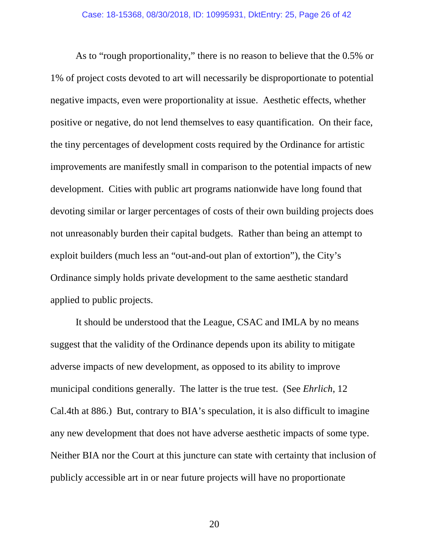As to "rough proportionality," there is no reason to believe that the 0.5% or 1% of project costs devoted to art will necessarily be disproportionate to potential negative impacts, even were proportionality at issue. Aesthetic effects, whether positive or negative, do not lend themselves to easy quantification. On their face, the tiny percentages of development costs required by the Ordinance for artistic improvements are manifestly small in comparison to the potential impacts of new development. Cities with public art programs nationwide have long found that devoting similar or larger percentages of costs of their own building projects does not unreasonably burden their capital budgets. Rather than being an attempt to exploit builders (much less an "out-and-out plan of extortion"), the City's Ordinance simply holds private development to the same aesthetic standard applied to public projects.

It should be understood that the League, CSAC and IMLA by no means suggest that the validity of the Ordinance depends upon its ability to mitigate adverse impacts of new development, as opposed to its ability to improve municipal conditions generally. The latter is the true test. (See *Ehrlich*, 12 Cal.4th at 886.) But, contrary to BIA's speculation, it is also difficult to imagine any new development that does not have adverse aesthetic impacts of some type. Neither BIA nor the Court at this juncture can state with certainty that inclusion of publicly accessible art in or near future projects will have no proportionate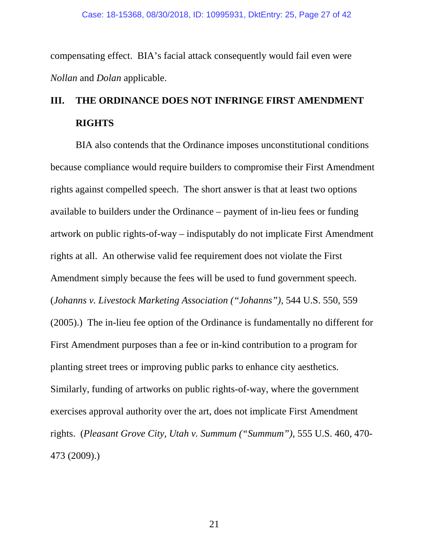compensating effect. BIA's facial attack consequently would fail even were *Nollan* and *Dolan* applicable.

# **III. THE ORDINANCE DOES NOT INFRINGE FIRST AMENDMENT RIGHTS**

BIA also contends that the Ordinance imposes unconstitutional conditions because compliance would require builders to compromise their First Amendment rights against compelled speech. The short answer is that at least two options available to builders under the Ordinance – payment of in-lieu fees or funding artwork on public rights-of-way – indisputably do not implicate First Amendment rights at all. An otherwise valid fee requirement does not violate the First Amendment simply because the fees will be used to fund government speech. (*Johanns v. Livestock Marketing Association ("Johanns")*, 544 U.S. 550, 559 (2005).) The in-lieu fee option of the Ordinance is fundamentally no different for First Amendment purposes than a fee or in-kind contribution to a program for planting street trees or improving public parks to enhance city aesthetics. Similarly, funding of artworks on public rights-of-way, where the government exercises approval authority over the art, does not implicate First Amendment rights. (*Pleasant Grove City, Utah v. Summum ("Summum")*, 555 U.S. 460, 470- 473 (2009).)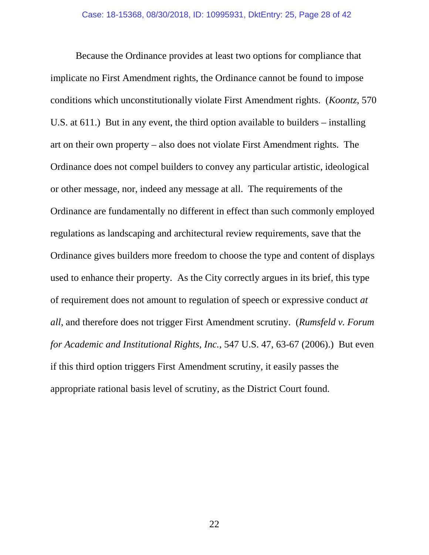Because the Ordinance provides at least two options for compliance that implicate no First Amendment rights, the Ordinance cannot be found to impose conditions which unconstitutionally violate First Amendment rights. (*Koontz*, 570 U.S. at 611.) But in any event, the third option available to builders – installing art on their own property – also does not violate First Amendment rights. The Ordinance does not compel builders to convey any particular artistic, ideological or other message, nor, indeed any message at all. The requirements of the Ordinance are fundamentally no different in effect than such commonly employed regulations as landscaping and architectural review requirements, save that the Ordinance gives builders more freedom to choose the type and content of displays used to enhance their property. As the City correctly argues in its brief, this type of requirement does not amount to regulation of speech or expressive conduct *at all*, and therefore does not trigger First Amendment scrutiny. (*Rumsfeld v. Forum for Academic and Institutional Rights, Inc.*, 547 U.S. 47, 63-67 (2006).) But even if this third option triggers First Amendment scrutiny, it easily passes the appropriate rational basis level of scrutiny, as the District Court found.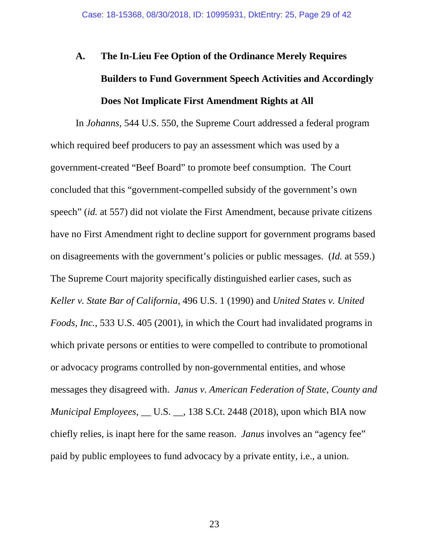# **A. The In-Lieu Fee Option of the Ordinance Merely Requires Builders to Fund Government Speech Activities and Accordingly Does Not Implicate First Amendment Rights at All**

In *Johanns*, 544 U.S. 550, the Supreme Court addressed a federal program which required beef producers to pay an assessment which was used by a government-created "Beef Board" to promote beef consumption. The Court concluded that this "government-compelled subsidy of the government's own speech" (*id.* at 557) did not violate the First Amendment, because private citizens have no First Amendment right to decline support for government programs based on disagreements with the government's policies or public messages. (*Id.* at 559.) The Supreme Court majority specifically distinguished earlier cases, such as *Keller v. State Bar of California*, 496 U.S. 1 (1990) and *United States v. United Foods, Inc.*, 533 U.S. 405 (2001), in which the Court had invalidated programs in which private persons or entities to were compelled to contribute to promotional or advocacy programs controlled by non-governmental entities, and whose messages they disagreed with. *Janus v. American Federation of State, County and Municipal Employees*, \_\_ U.S. \_\_, 138 S.Ct. 2448 (2018), upon which BIA now chiefly relies, is inapt here for the same reason. *Janus* involves an "agency fee" paid by public employees to fund advocacy by a private entity, i.e., a union.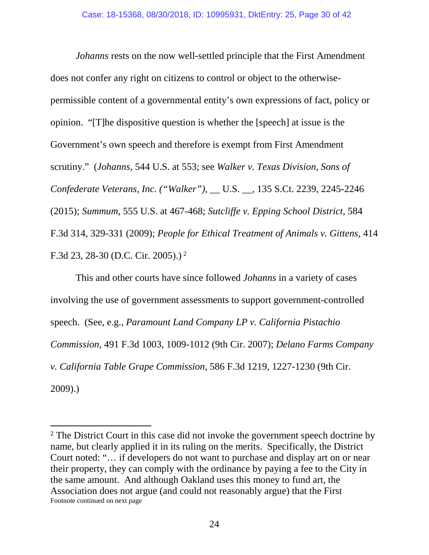*Johanns* rests on the now well-settled principle that the First Amendment does not confer any right on citizens to control or object to the otherwisepermissible content of a governmental entity's own expressions of fact, policy or opinion. "[T]he dispositive question is whether the [speech] at issue is the Government's own speech and therefore is exempt from First Amendment scrutiny." (*Johanns*, 544 U.S. at 553; see *Walker v. Texas Division, Sons of Confederate Veterans, Inc. ("Walker")*, \_\_ U.S. \_\_, 135 S.Ct. 2239, 2245-2246 (2015); *Summum*, 555 U.S. at 467-468; *Sutcliffe v. Epping School District*, 584 F.3d 314, 329-331 (2009); *People for Ethical Treatment of Animals v. Gittens*, 414 F.3d 23, 28-30 (D.C. Cir. 2005).) [2](#page-29-0)

This and other courts have since followed *Johanns* in a variety of cases involving the use of government assessments to support government-controlled speech. (See, e.g., *Paramount Land Company LP v. California Pistachio Commission*, 491 F.3d 1003, 1009-1012 (9th Cir. 2007); *Delano Farms Company v. California Table Grape Commission*, 586 F.3d 1219, 1227-1230 (9th Cir. 2009).)

<span id="page-29-0"></span><sup>&</sup>lt;sup>2</sup> The District Court in this case did not invoke the government speech doctrine by name, but clearly applied it in its ruling on the merits. Specifically, the District Court noted: "… if developers do not want to purchase and display art on or near their property, they can comply with the ordinance by paying a fee to the City in the same amount. And although Oakland uses this money to fund art, the Association does not argue (and could not reasonably argue) that the First Footnote continued on next page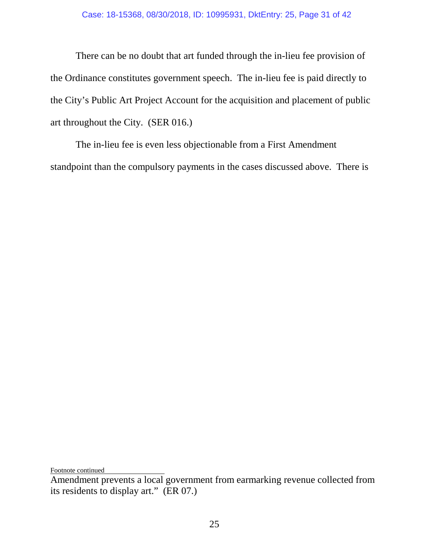There can be no doubt that art funded through the in-lieu fee provision of the Ordinance constitutes government speech. The in-lieu fee is paid directly to the City's Public Art Project Account for the acquisition and placement of public art throughout the City. (SER 016.)

The in-lieu fee is even less objectionable from a First Amendment standpoint than the compulsory payments in the cases discussed above. There is

Footnote continued

Amendment prevents a local government from earmarking revenue collected from its residents to display art." (ER 07.)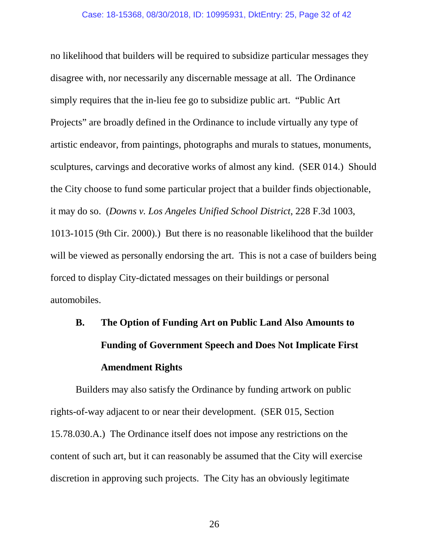no likelihood that builders will be required to subsidize particular messages they disagree with, nor necessarily any discernable message at all. The Ordinance simply requires that the in-lieu fee go to subsidize public art. "Public Art Projects" are broadly defined in the Ordinance to include virtually any type of artistic endeavor, from paintings, photographs and murals to statues, monuments, sculptures, carvings and decorative works of almost any kind. (SER 014.) Should the City choose to fund some particular project that a builder finds objectionable, it may do so. (*Downs v. Los Angeles Unified School District*, 228 F.3d 1003, 1013-1015 (9th Cir. 2000).) But there is no reasonable likelihood that the builder will be viewed as personally endorsing the art. This is not a case of builders being forced to display City-dictated messages on their buildings or personal automobiles.

# **B. The Option of Funding Art on Public Land Also Amounts to Funding of Government Speech and Does Not Implicate First Amendment Rights**

Builders may also satisfy the Ordinance by funding artwork on public rights-of-way adjacent to or near their development. (SER 015, Section 15.78.030.A.) The Ordinance itself does not impose any restrictions on the content of such art, but it can reasonably be assumed that the City will exercise discretion in approving such projects. The City has an obviously legitimate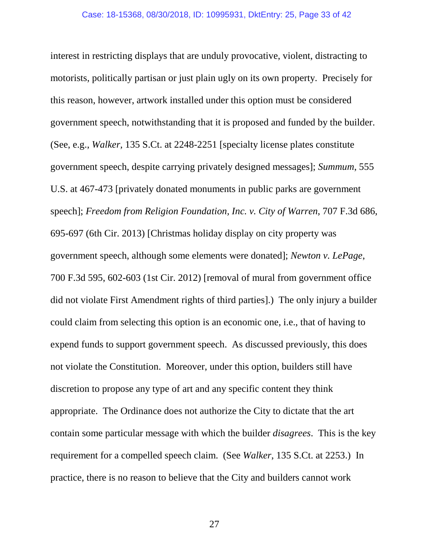interest in restricting displays that are unduly provocative, violent, distracting to motorists, politically partisan or just plain ugly on its own property. Precisely for this reason, however, artwork installed under this option must be considered government speech, notwithstanding that it is proposed and funded by the builder. (See, e.g., *Walker,* 135 S.Ct. at 2248-2251 [specialty license plates constitute government speech, despite carrying privately designed messages]; *Summum*, 555 U.S. at 467-473 [privately donated monuments in public parks are government speech]; *Freedom from Religion Foundation, Inc. v. City of Warren*, 707 F.3d 686, 695-697 (6th Cir. 2013) [Christmas holiday display on city property was government speech, although some elements were donated]; *Newton v. LePage*, 700 F.3d 595, 602-603 (1st Cir. 2012) [removal of mural from government office did not violate First Amendment rights of third parties].) The only injury a builder could claim from selecting this option is an economic one, i.e., that of having to expend funds to support government speech. As discussed previously, this does not violate the Constitution. Moreover, under this option, builders still have discretion to propose any type of art and any specific content they think appropriate. The Ordinance does not authorize the City to dictate that the art contain some particular message with which the builder *disagrees*. This is the key requirement for a compelled speech claim. (See *Walker*, 135 S.Ct. at 2253.) In practice, there is no reason to believe that the City and builders cannot work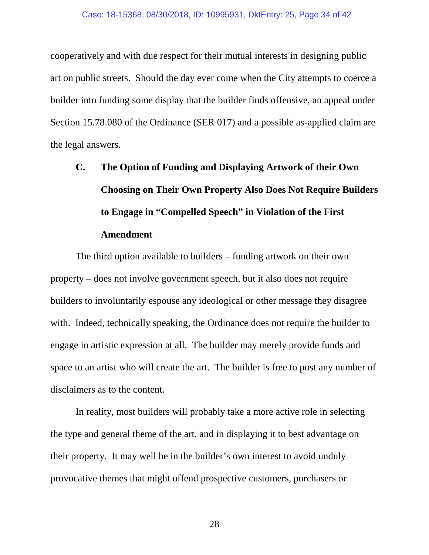cooperatively and with due respect for their mutual interests in designing public art on public streets. Should the day ever come when the City attempts to coerce a builder into funding some display that the builder finds offensive, an appeal under Section 15.78.080 of the Ordinance (SER 017) and a possible as-applied claim are the legal answers.

# **C. The Option of Funding and Displaying Artwork of their Own Choosing on Their Own Property Also Does Not Require Builders to Engage in "Compelled Speech" in Violation of the First Amendment**

The third option available to builders – funding artwork on their own property – does not involve government speech, but it also does not require builders to involuntarily espouse any ideological or other message they disagree with. Indeed, technically speaking, the Ordinance does not require the builder to engage in artistic expression at all. The builder may merely provide funds and space to an artist who will create the art. The builder is free to post any number of disclaimers as to the content.

In reality, most builders will probably take a more active role in selecting the type and general theme of the art, and in displaying it to best advantage on their property. It may well be in the builder's own interest to avoid unduly provocative themes that might offend prospective customers, purchasers or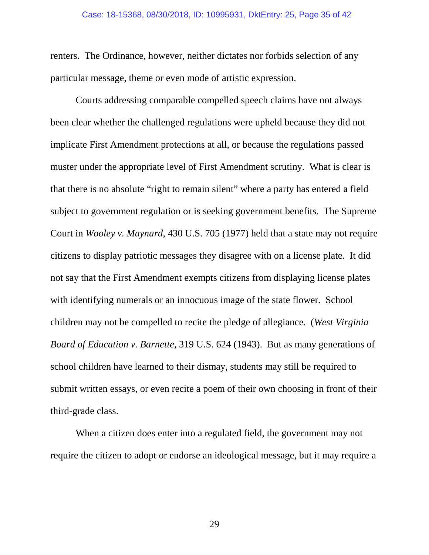#### Case: 18-15368, 08/30/2018, ID: 10995931, DktEntry: 25, Page 35 of 42

renters. The Ordinance, however, neither dictates nor forbids selection of any particular message, theme or even mode of artistic expression.

Courts addressing comparable compelled speech claims have not always been clear whether the challenged regulations were upheld because they did not implicate First Amendment protections at all, or because the regulations passed muster under the appropriate level of First Amendment scrutiny. What is clear is that there is no absolute "right to remain silent" where a party has entered a field subject to government regulation or is seeking government benefits. The Supreme Court in *Wooley v. Maynard*, 430 U.S. 705 (1977) held that a state may not require citizens to display patriotic messages they disagree with on a license plate. It did not say that the First Amendment exempts citizens from displaying license plates with identifying numerals or an innocuous image of the state flower. School children may not be compelled to recite the pledge of allegiance. (*West Virginia Board of Education v. Barnette*, 319 U.S. 624 (1943). But as many generations of school children have learned to their dismay, students may still be required to submit written essays, or even recite a poem of their own choosing in front of their third-grade class.

When a citizen does enter into a regulated field, the government may not require the citizen to adopt or endorse an ideological message, but it may require a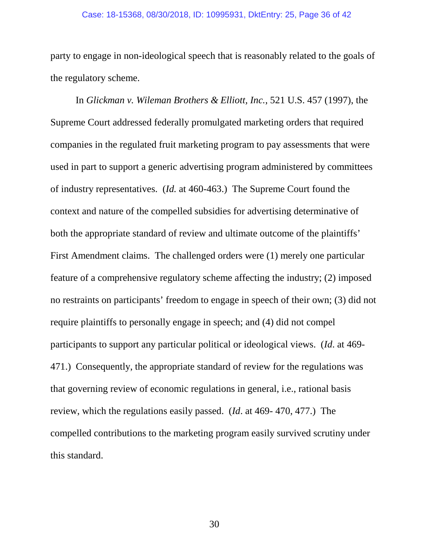#### Case: 18-15368, 08/30/2018, ID: 10995931, DktEntry: 25, Page 36 of 42

party to engage in non-ideological speech that is reasonably related to the goals of the regulatory scheme.

In *Glickman v. Wileman Brothers & Elliott, Inc.*, 521 U.S. 457 (1997), the Supreme Court addressed federally promulgated marketing orders that required companies in the regulated fruit marketing program to pay assessments that were used in part to support a generic advertising program administered by committees of industry representatives. (*Id.* at 460-463.) The Supreme Court found the context and nature of the compelled subsidies for advertising determinative of both the appropriate standard of review and ultimate outcome of the plaintiffs' First Amendment claims. The challenged orders were (1) merely one particular feature of a comprehensive regulatory scheme affecting the industry; (2) imposed no restraints on participants' freedom to engage in speech of their own; (3) did not require plaintiffs to personally engage in speech; and (4) did not compel participants to support any particular political or ideological views. (*Id*. at 469- 471.) Consequently, the appropriate standard of review for the regulations was that governing review of economic regulations in general, i.e., rational basis review, which the regulations easily passed. (*Id*. at 469- 470, 477.) The compelled contributions to the marketing program easily survived scrutiny under this standard.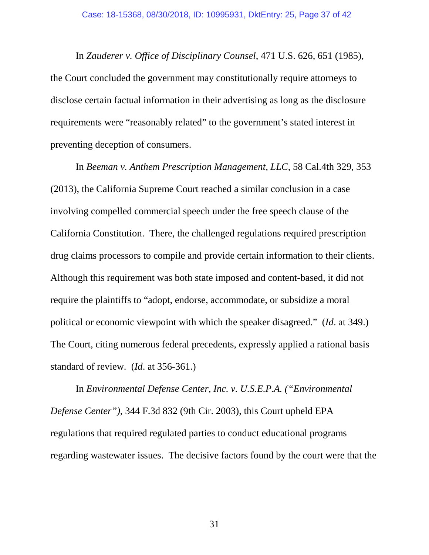In *Zauderer v. Office of Disciplinary Counsel*, 471 U.S. 626, 651 (1985), the Court concluded the government may constitutionally require attorneys to disclose certain factual information in their advertising as long as the disclosure requirements were "reasonably related" to the government's stated interest in preventing deception of consumers.

In *Beeman v. Anthem Prescription Management, LLC*, 58 Cal.4th 329, 353 (2013), the California Supreme Court reached a similar conclusion in a case involving compelled commercial speech under the free speech clause of the California Constitution. There, the challenged regulations required prescription drug claims processors to compile and provide certain information to their clients. Although this requirement was both state imposed and content-based, it did not require the plaintiffs to "adopt, endorse, accommodate, or subsidize a moral political or economic viewpoint with which the speaker disagreed." (*Id*. at 349.) The Court, citing numerous federal precedents, expressly applied a rational basis standard of review. (*Id*. at 356-361.)

In *Environmental Defense Center, Inc. v. U.S.E.P.A. ("Environmental Defense Center")*, 344 F.3d 832 (9th Cir. 2003), this Court upheld EPA regulations that required regulated parties to conduct educational programs regarding wastewater issues. The decisive factors found by the court were that the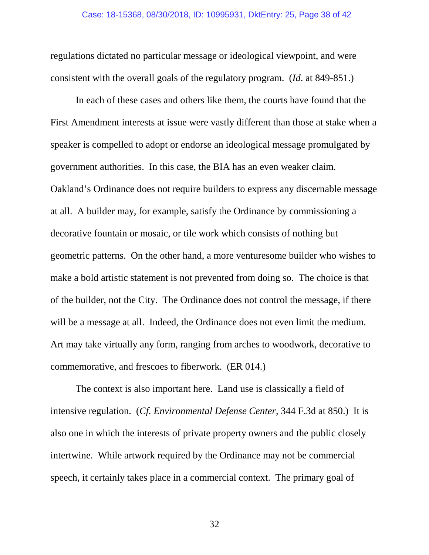regulations dictated no particular message or ideological viewpoint, and were consistent with the overall goals of the regulatory program. (*Id*. at 849-851.)

In each of these cases and others like them, the courts have found that the First Amendment interests at issue were vastly different than those at stake when a speaker is compelled to adopt or endorse an ideological message promulgated by government authorities. In this case, the BIA has an even weaker claim. Oakland's Ordinance does not require builders to express any discernable message at all. A builder may, for example, satisfy the Ordinance by commissioning a decorative fountain or mosaic, or tile work which consists of nothing but geometric patterns. On the other hand, a more venturesome builder who wishes to make a bold artistic statement is not prevented from doing so. The choice is that of the builder, not the City. The Ordinance does not control the message, if there will be a message at all. Indeed, the Ordinance does not even limit the medium. Art may take virtually any form, ranging from arches to woodwork, decorative to commemorative, and frescoes to fiberwork. (ER 014.)

The context is also important here. Land use is classically a field of intensive regulation. (*Cf. Environmental Defense Center,* 344 F.3d at 850.) It is also one in which the interests of private property owners and the public closely intertwine. While artwork required by the Ordinance may not be commercial speech, it certainly takes place in a commercial context. The primary goal of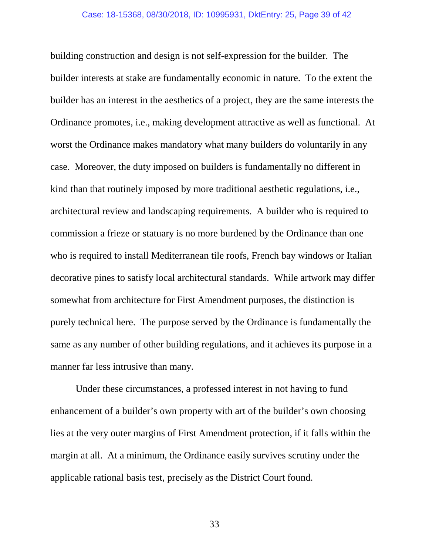building construction and design is not self-expression for the builder. The builder interests at stake are fundamentally economic in nature. To the extent the builder has an interest in the aesthetics of a project, they are the same interests the Ordinance promotes, i.e., making development attractive as well as functional. At worst the Ordinance makes mandatory what many builders do voluntarily in any case. Moreover, the duty imposed on builders is fundamentally no different in kind than that routinely imposed by more traditional aesthetic regulations, i.e., architectural review and landscaping requirements. A builder who is required to commission a frieze or statuary is no more burdened by the Ordinance than one who is required to install Mediterranean tile roofs, French bay windows or Italian decorative pines to satisfy local architectural standards. While artwork may differ somewhat from architecture for First Amendment purposes, the distinction is purely technical here. The purpose served by the Ordinance is fundamentally the same as any number of other building regulations, and it achieves its purpose in a manner far less intrusive than many.

Under these circumstances, a professed interest in not having to fund enhancement of a builder's own property with art of the builder's own choosing lies at the very outer margins of First Amendment protection, if it falls within the margin at all. At a minimum, the Ordinance easily survives scrutiny under the applicable rational basis test, precisely as the District Court found.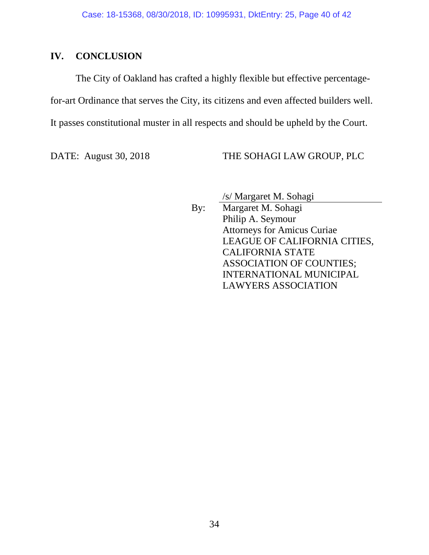### **IV. CONCLUSION**

The City of Oakland has crafted a highly flexible but effective percentagefor-art Ordinance that serves the City, its citizens and even affected builders well. It passes constitutional muster in all respects and should be upheld by the Court.

DATE: August 30, 2018 THE SOHAGI LAW GROUP, PLC

/s/ Margaret M. Sohagi

By: Margaret M. Sohagi Philip A. Seymour Attorneys for Amicus Curiae LEAGUE OF CALIFORNIA CITIES, CALIFORNIA STATE ASSOCIATION OF COUNTIES; INTERNATIONAL MUNICIPAL LAWYERS ASSOCIATION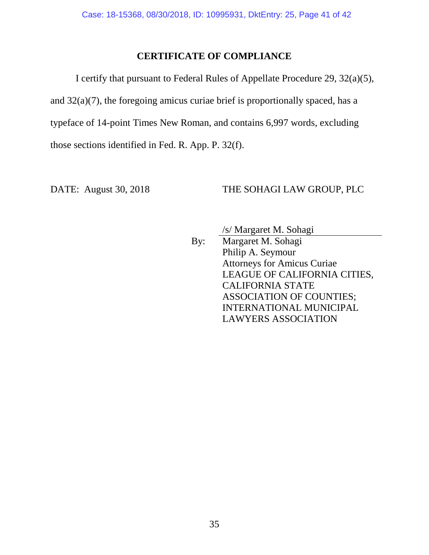### **CERTIFICATE OF COMPLIANCE**

I certify that pursuant to Federal Rules of Appellate Procedure 29, 32(a)(5), and 32(a)(7), the foregoing amicus curiae brief is proportionally spaced, has a typeface of 14-point Times New Roman, and contains 6,997 words, excluding those sections identified in Fed. R. App. P. 32(f).

### DATE: August 30, 2018 THE SOHAGI LAW GROUP, PLC

/s/ Margaret M. Sohagi

By: Margaret M. Sohagi Philip A. Seymour Attorneys for Amicus Curiae LEAGUE OF CALIFORNIA CITIES, CALIFORNIA STATE ASSOCIATION OF COUNTIES; INTERNATIONAL MUNICIPAL LAWYERS ASSOCIATION